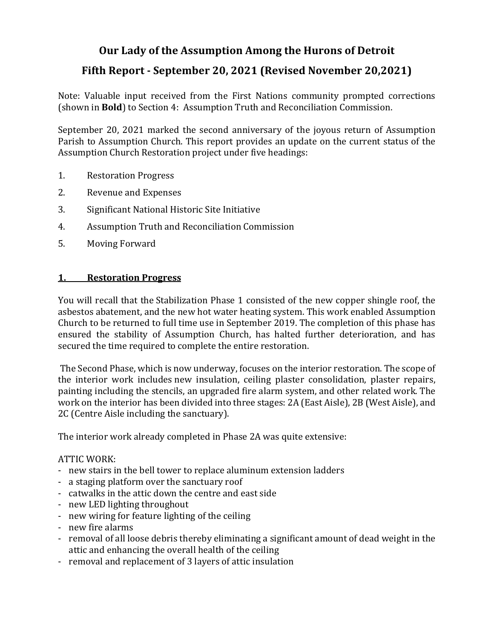# Our Lady of the Assumption Among the Hurons of Detroit

# **Fifth Report - September 20, 2021 (Revised November 20,2021)**

Note: Valuable input received from the First Nations community prompted corrections (shown in **Bold**) to Section 4: Assumption Truth and Reconciliation Commission.

September 20, 2021 marked the second anniversary of the joyous return of Assumption Parish to Assumption Church. This report provides an update on the current status of the Assumption Church Restoration project under five headings:

- 1. Restoration Progress
- 2. Revenue and Expenses
- 3. Significant National Historic Site Initiative
- 4. Assumption Truth and Reconciliation Commission
- 5. Moving Forward

#### **1. Restoration Progress**

You will recall that the Stabilization Phase 1 consisted of the new copper shingle roof, the asbestos abatement, and the new hot water heating system. This work enabled Assumption Church to be returned to full time use in September 2019. The completion of this phase has ensured the stability of Assumption Church, has halted further deterioration, and has secured the time required to complete the entire restoration.

The Second Phase, which is now underway, focuses on the interior restoration. The scope of the interior work includes new insulation, ceiling plaster consolidation, plaster repairs, painting including the stencils, an upgraded fire alarm system, and other related work. The work on the interior has been divided into three stages: 2A (East Aisle), 2B (West Aisle), and 2C (Centre Aisle including the sanctuary).

The interior work already completed in Phase 2A was quite extensive:

#### ATTIC WORK:

- new stairs in the bell tower to replace aluminum extension ladders
- a staging platform over the sanctuary roof
- catwalks in the attic down the centre and east side
- new LED lighting throughout
- new wiring for feature lighting of the ceiling
- new fire alarms
- removal of all loose debris thereby eliminating a significant amount of dead weight in the attic and enhancing the overall health of the ceiling
- removal and replacement of 3 layers of attic insulation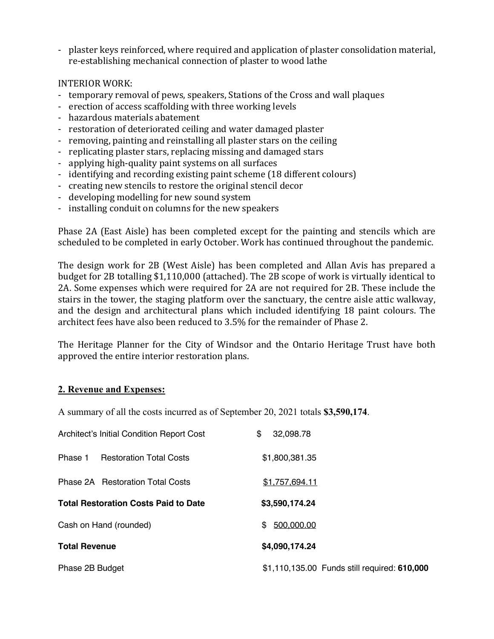- plaster keys reinforced, where required and application of plaster consolidation material, re-establishing mechanical connection of plaster to wood lathe

#### INTERIOR WORK:

- temporary removal of pews, speakers, Stations of the Cross and wall plaques
- erection of access scaffolding with three working levels
- hazardous materials abatement
- restoration of deteriorated ceiling and water damaged plaster
- removing, painting and reinstalling all plaster stars on the ceiling
- replicating plaster stars, replacing missing and damaged stars
- applying high-quality paint systems on all surfaces
- identifying and recording existing paint scheme (18 different colours)
- creating new stencils to restore the original stencil decor
- developing modelling for new sound system
- installing conduit on columns for the new speakers

Phase 2A (East Aisle) has been completed except for the painting and stencils which are scheduled to be completed in early October. Work has continued throughout the pandemic.

The design work for 2B (West Aisle) has been completed and Allan Avis has prepared a budget for 2B totalling \$1,110,000 (attached). The 2B scope of work is virtually identical to 2A. Some expenses which were required for 2A are not required for 2B. These include the stairs in the tower, the staging platform over the sanctuary, the centre aisle attic walkway, and the design and architectural plans which included identifying 18 paint colours. The architect fees have also been reduced to 3.5% for the remainder of Phase 2.

The Heritage Planner for the City of Windsor and the Ontario Heritage Trust have both approved the entire interior restoration plans.

#### **2. Revenue and Expenses:**

A summary of all the costs incurred as of September 20, 2021 totals **\$3,590,174**.

| Architect's Initial Condition Report Cost   | \$<br>32,098.78                              |
|---------------------------------------------|----------------------------------------------|
| <b>Restoration Total Costs</b><br>Phase 1   | \$1,800,381.35                               |
| <b>Phase 2A</b> Restoration Total Costs     | \$1,757,694.11                               |
| <b>Total Restoration Costs Paid to Date</b> | \$3,590,174.24                               |
| Cash on Hand (rounded)                      | 500,000.00<br>\$.                            |
| <b>Total Revenue</b>                        | \$4,090,174.24                               |
| Phase 2B Budget                             | \$1,110,135.00 Funds still required: 610,000 |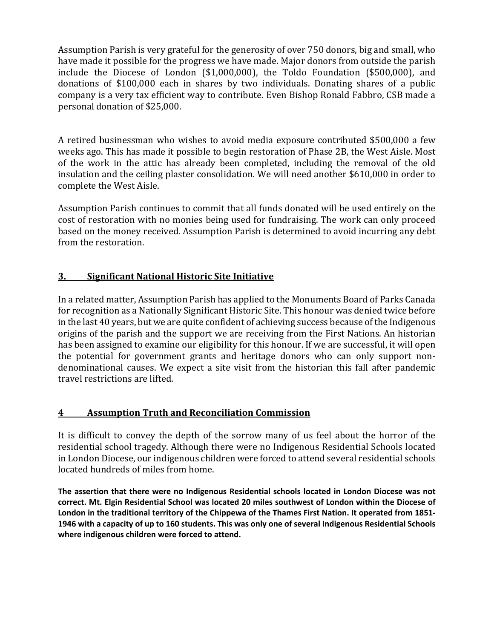Assumption Parish is very grateful for the generosity of over 750 donors, big and small, who have made it possible for the progress we have made. Major donors from outside the parish include the Diocese of London  $$1,000,000$ , the Toldo Foundation  $$500,000$ , and donations of \$100,000 each in shares by two individuals. Donating shares of a public company is a very tax efficient way to contribute. Even Bishop Ronald Fabbro, CSB made a personal donation of \$25,000.

A retired businessman who wishes to avoid media exposure contributed \$500,000 a few weeks ago. This has made it possible to begin restoration of Phase 2B, the West Aisle. Most of the work in the attic has already been completed, including the removal of the old insulation and the ceiling plaster consolidation. We will need another \$610,000 in order to complete the West Aisle.

Assumption Parish continues to commit that all funds donated will be used entirely on the cost of restoration with no monies being used for fundraising. The work can only proceed based on the money received. Assumption Parish is determined to avoid incurring any debt from the restoration.

## **3.** Significant National Historic Site Initiative

In a related matter, Assumption Parish has applied to the Monuments Board of Parks Canada for recognition as a Nationally Significant Historic Site. This honour was denied twice before in the last 40 years, but we are quite confident of achieving success because of the Indigenous origins of the parish and the support we are receiving from the First Nations. An historian has been assigned to examine our eligibility for this honour. If we are successful, it will open the potential for government grants and heritage donors who can only support nondenominational causes. We expect a site visit from the historian this fall after pandemic travel restrictions are lifted.

## **4 Assumption Truth and Reconciliation Commission**

It is difficult to convey the depth of the sorrow many of us feel about the horror of the residential school tragedy. Although there were no Indigenous Residential Schools located in London Diocese, our indigenous children were forced to attend several residential schools located hundreds of miles from home.

**The assertion that there were no Indigenous Residential schools located in London Diocese was not correct. Mt. Elgin Residential School was located 20 miles southwest of London within the Diocese of London in the traditional territory of the Chippewa of the Thames First Nation. It operated from 1851- 1946 with a capacity of up to 160 students. This was only one of several Indigenous Residential Schools where indigenous children were forced to attend.**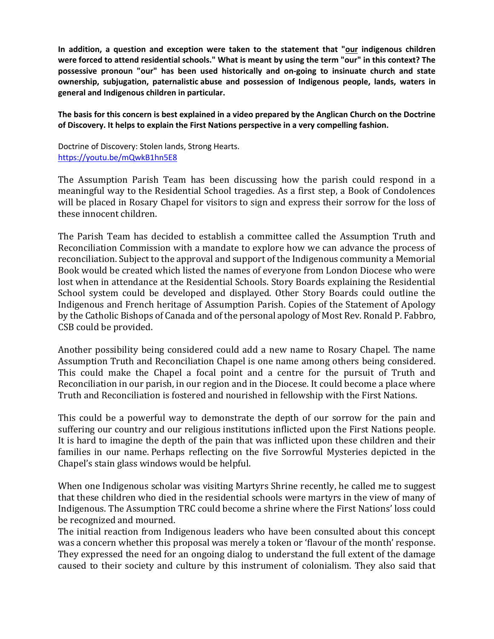**In addition, a question and exception were taken to the statement that "our indigenous children were forced to attend residential schools." What is meant by using the term "our" in this context? The possessive pronoun "our" has been used historically and on-going to insinuate church and state ownership, subjugation, paternalistic abuse and possession of Indigenous people, lands, waters in general and Indigenous children in particular.**

**The basis for this concern is best explained in a video prepared by the Anglican Church on the Doctrine of Discovery. It helps to explain the First Nations perspective in a very compelling fashion.**

Doctrine of Discovery: Stolen lands, Strong Hearts. https://youtu.be/mQwkB1hn5E8

The Assumption Parish Team has been discussing how the parish could respond in a meaningful way to the Residential School tragedies. As a first step, a Book of Condolences will be placed in Rosary Chapel for visitors to sign and express their sorrow for the loss of these innocent children.

The Parish Team has decided to establish a committee called the Assumption Truth and Reconciliation Commission with a mandate to explore how we can advance the process of reconciliation. Subject to the approval and support of the Indigenous community a Memorial Book would be created which listed the names of everyone from London Diocese who were lost when in attendance at the Residential Schools. Story Boards explaining the Residential School system could be developed and displayed. Other Story Boards could outline the Indigenous and French heritage of Assumption Parish. Copies of the Statement of Apology by the Catholic Bishops of Canada and of the personal apology of Most Rev. Ronald P. Fabbro, CSB could be provided.

Another possibility being considered could add a new name to Rosary Chapel. The name Assumption Truth and Reconciliation Chapel is one name among others being considered. This could make the Chapel a focal point and a centre for the pursuit of Truth and Reconciliation in our parish, in our region and in the Diocese. It could become a place where Truth and Reconciliation is fostered and nourished in fellowship with the First Nations.

This could be a powerful way to demonstrate the depth of our sorrow for the pain and suffering our country and our religious institutions inflicted upon the First Nations people. It is hard to imagine the depth of the pain that was inflicted upon these children and their families in our name. Perhaps reflecting on the five Sorrowful Mysteries depicted in the Chapel's stain glass windows would be helpful.

When one Indigenous scholar was visiting Martyrs Shrine recently, he called me to suggest that these children who died in the residential schools were martyrs in the view of many of Indigenous. The Assumption TRC could become a shrine where the First Nations' loss could be recognized and mourned.

The initial reaction from Indigenous leaders who have been consulted about this concept was a concern whether this proposal was merely a token or 'flavour of the month' response. They expressed the need for an ongoing dialog to understand the full extent of the damage caused to their society and culture by this instrument of colonialism. They also said that